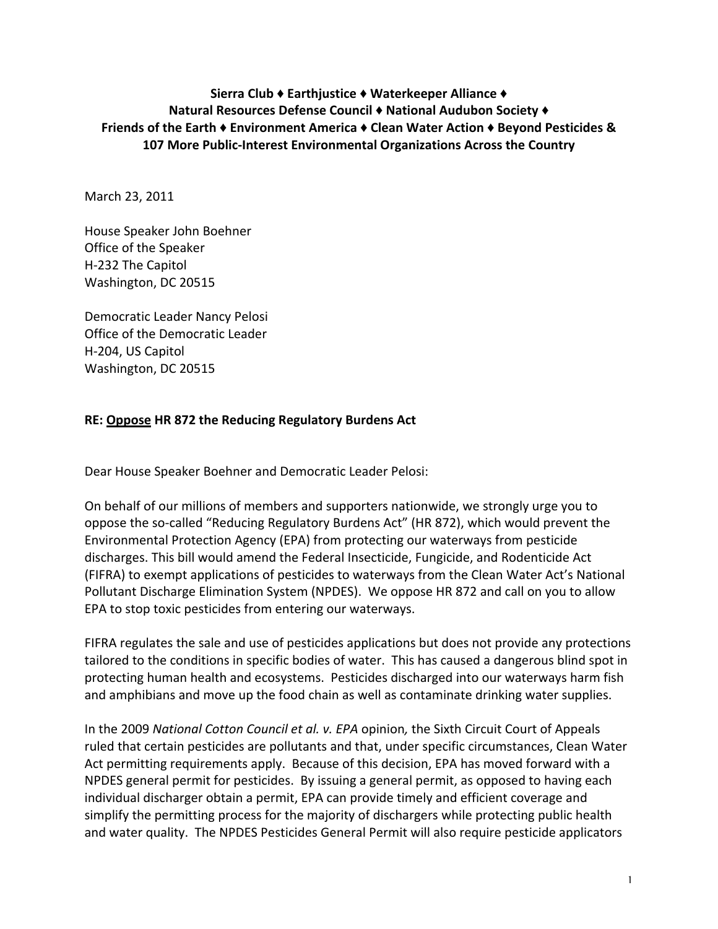# **Sierra
Club ♦Earthjustice ♦Waterkeeper
Alliance ♦ Natural
Resources
Defense
Council ♦National
Audubon
Society ♦ Friends of the Earth ♦ Environment America ♦ Clean Water Action ♦ Beyond Pesticides &** 107 More Public-Interest Environmental Organizations Across the Country

March
23,
2011

House
Speaker
John
Boehner Office
of
the
Speaker H‐232
The
Capitol Washington,
DC
20515

Democratic
Leader
Nancy
Pelosi Office
of
the
Democratic
Leader H‐204,
US
Capitol Washington,
DC
20515

## **RE:
Oppose
HR
872
the
Reducing
Regulatory
Burdens
Act**

Dear
House
Speaker
Boehner
and
Democratic
Leader
Pelosi:

On behalf of our millions of members and supporters nationwide, we strongly urge you to oppose
the
so‐called
"Reducing
Regulatory
Burdens
Act"
(HR
872),
which
would
prevent
the Environmental
Protection
Agency
(EPA)
from
protecting
our
waterways
from
pesticide discharges.
This
bill
would
amend
the
Federal
Insecticide,
Fungicide,
and
Rodenticide
Act (FIFRA)
to
exempt
applications
of
pesticides
to
waterways
from
the
Clean
Water
Act's
National Pollutant Discharge Elimination System (NPDES). We oppose HR 872 and call on you to allow EPA
to
stop
toxic
pesticides
from
entering
our
waterways.

FIFRA regulates the sale and use of pesticides applications but does not provide any protections tailored to the conditions in specific bodies of water. This has caused a dangerous blind spot in protecting
human
health
and
ecosystems.

Pesticides
discharged
into
our
waterways
harm
fish and amphibians and move up the food chain as well as contaminate drinking water supplies.

In the 2009 National Cotton Council et al. v. EPA opinion, the Sixth Circuit Court of Appeals ruled
that
certain
pesticides
are
pollutants
and
that,
under
specific
circumstances,
Clean
Water Act permitting requirements apply. Because of this decision, EPA has moved forward with a NPDES general permit for pesticides. By issuing a general permit, as opposed to having each individual discharger obtain a permit, EPA can provide timely and efficient coverage and simplify the permitting process for the majority of dischargers while protecting public health and water quality. The NPDES Pesticides General Permit will also require pesticide applicators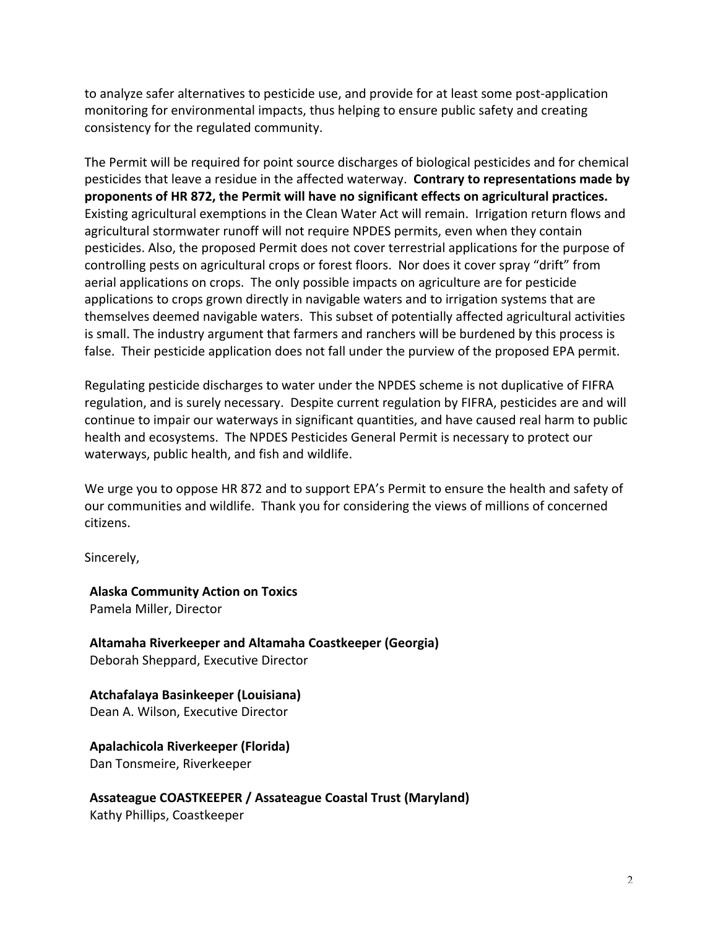to
analyze
safer
alternatives
to
pesticide
use,
and
provide
for
at
least
some
post‐application monitoring
for
environmental
impacts,
thus
helping
to
ensure
public
safety and
creating consistency
for
the
regulated
community.

The Permit will be required for point source discharges of biological pesticides and for chemical pesticides that leave a residue in the affected waterway. Contrary to representations made by proponents of HR 872, the Permit will have no significant effects on agricultural practices. Existing agricultural exemptions in the Clean Water Act will remain. Irrigation return flows and agricultural stormwater runoff will not require NPDES permits, even when they contain pesticides.
Also,
the
proposed
Permit
does
not
cover
terrestrial
applications
for
the
purpose
of controlling
pests
on
agricultural
crops
or
forest
floors.

Nor
does
it
cover
spray
"drift"
from aerial
applications
on
crops.

The
only
possible
impacts
on
agriculture
are
for
pesticide applications to crops grown directly in navigable waters and to irrigation systems that are themselves
deemed
navigable
waters.

This
subset
of
potentially
affected
agricultural
activities is small. The industry argument that farmers and ranchers will be burdened by this process is false. Their pesticide application does not fall under the purview of the proposed EPA permit.

Regulating pesticide discharges to water under the NPDES scheme is not duplicative of FIFRA regulation, and is surely necessary. Despite current regulation by FIFRA, pesticides are and will continue to impair our waterways in significant quantities, and have caused real harm to public health and ecosystems. The NPDES Pesticides General Permit is necessary to protect our waterways,
public
health,
and
fish
and
wildlife.

We urge you to oppose HR 872 and to support EPA's Permit to ensure the health and safety of our communities and wildlife. Thank you for considering the views of millions of concerned citizens.

Sincerely,

**Alaska
Community
Action
on
Toxics** Pamela
Miller,
Director

**Altamaha
Riverkeeper
and
Altamaha
Coastkeeper
(Georgia)** Deborah
Sheppard,
Executive
Director

**Atchafalaya
Basinkeeper
(Louisiana)** Dean
A.
Wilson,
Executive
Director

**Apalachicola
Riverkeeper
(Florida)** Dan
Tonsmeire,
Riverkeeper

**Assateague
COASTKEEPER
/
Assateague
Coastal
Trust
(Maryland)** Kathy
Phillips,
Coastkeeper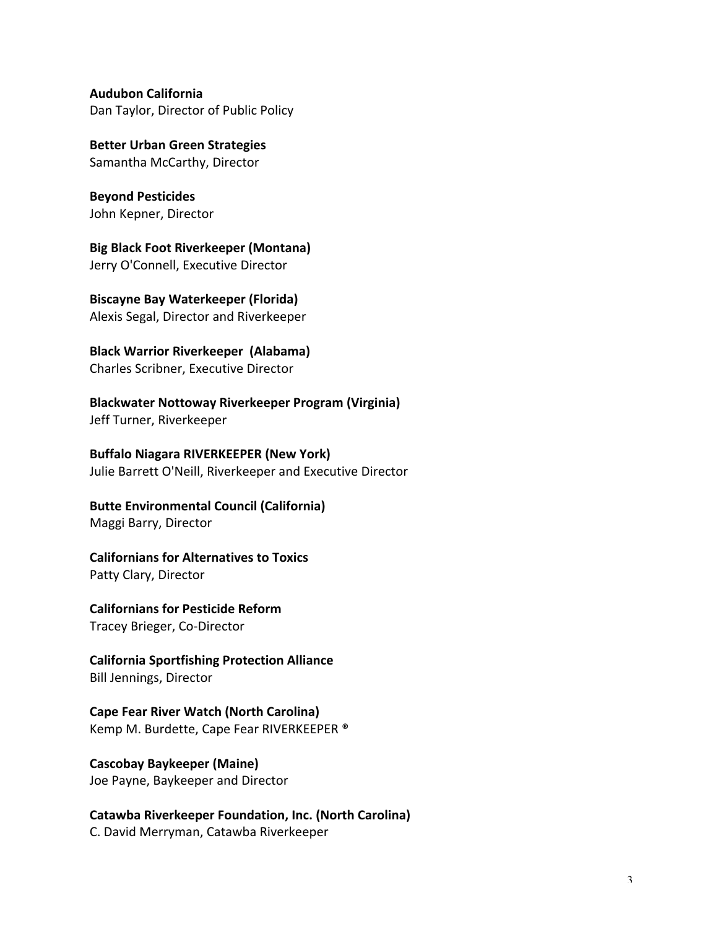**Audubon
California** Dan Taylor, Director of Public Policy

**Better
Urban
Green
Strategies** Samantha
McCarthy,
Director

**Beyond
Pesticides** John
Kepner,
Director

**Big
Black
Foot
Riverkeeper
(Montana)** Jerry
O'Connell,
Executive
Director

**Biscayne
Bay
Waterkeeper
(Florida)** Alexis
Segal,
Director
and
Riverkeeper

**Black
Warrior
Riverkeeper

(Alabama)** Charles
Scribner,
Executive
Director

**Blackwater
Nottoway
Riverkeeper
Program
(Virginia)** Jeff
Turner,
Riverkeeper

**Buffalo
Niagara
RIVERKEEPER
(New
York)** Julie
Barrett
O'Neill,
Riverkeeper
and
Executive
Director

**Butte
Environmental
Council
(California)** Maggi
Barry,
Director

**Californians
for
Alternatives
to
Toxics** Patty
Clary,
Director

**Californians
for
Pesticide
Reform** Tracey
Brieger,
Co‐Director

**California
Sportfishing
Protection
Alliance** Bill
Jennings,
Director

**Cape
Fear
River
Watch
(North
Carolina)** Kemp
M.
Burdette,
Cape
Fear
RIVERKEEPER
®

**Cascobay
Baykeeper
(Maine)** Joe
Payne,
Baykeeper
and
Director

**Catawba
Riverkeeper
Foundation,
Inc.
(North
Carolina)** C.
David
Merryman,
Catawba
Riverkeeper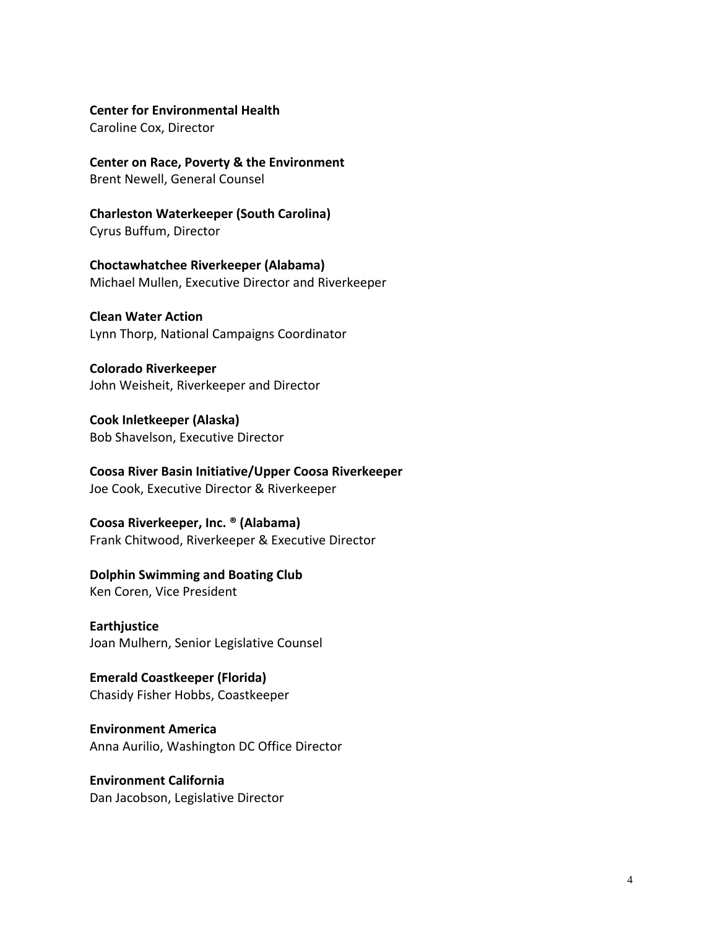#### **Center
for
Environmental
Health**

Caroline
Cox,
Director

**Center
on
Race,
Poverty
&
the
Environment** Brent
Newell,
General
Counsel

**Charleston
Waterkeeper
(South
Carolina)** Cyrus
Buffum,
Director

**Choctawhatchee
Riverkeeper
(Alabama)** Michael
Mullen,
Executive
Director
and
Riverkeeper

**Clean
Water
Action** Lynn
Thorp,
National
Campaigns
Coordinator

**Colorado
Riverkeeper** John
Weisheit,
Riverkeeper
and
Director

**Cook
Inletkeeper
(Alaska)** Bob
Shavelson,
Executive
Director

**Coosa
River
Basin
Initiative/Upper
Coosa
Riverkeeper** Joe
Cook,
Executive
Director
&
Riverkeeper

**Coosa
Riverkeeper,
Inc.
®
(Alabama)** Frank
Chitwood,
Riverkeeper
&
Executive
Director

#### **Dolphin
Swimming
and
Boating
Club**

Ken
Coren,
Vice
President

**Earthjustice** Joan
Mulhern,
Senior
Legislative
Counsel

**Emerald
Coastkeeper
(Florida)** Chasidy
Fisher
Hobbs,
Coastkeeper

**Environment
America** Anna
Aurilio,
Washington
DC
Office
Director

**Environment
California** Dan
Jacobson,
Legislative
Director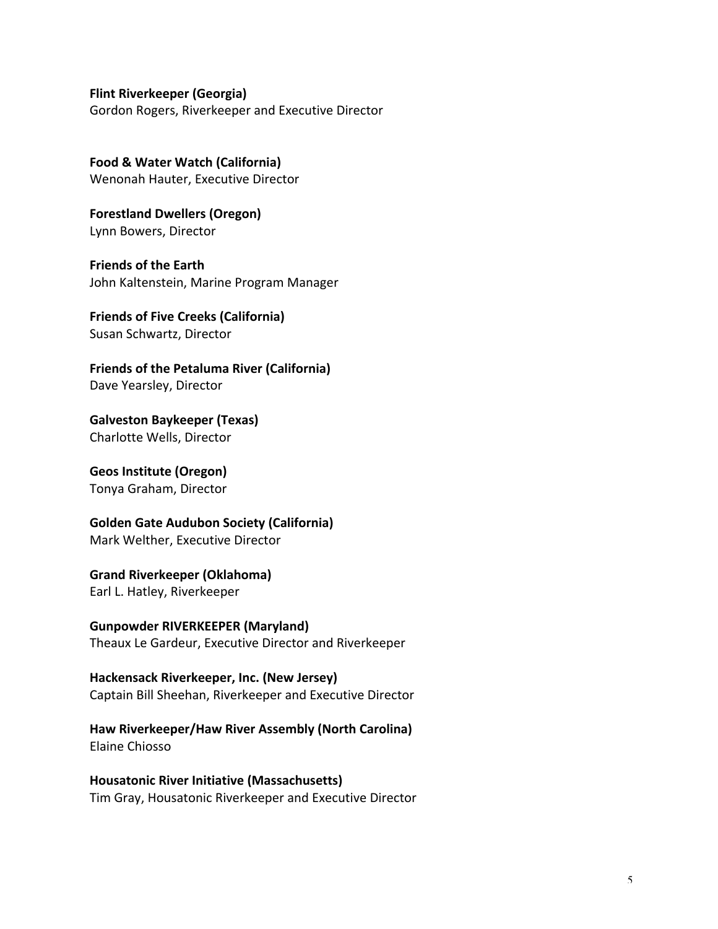**Flint
Riverkeeper
(Georgia)**

Gordon
Rogers,
Riverkeeper
and
Executive
Director

**Food
&
Water
Watch
(California)** Wenonah
Hauter,
Executive
Director

**Forestland
Dwellers
(Oregon)** Lynn
Bowers,
Director

**Friends
of
the
Earth** John
Kaltenstein,
Marine
Program
Manager

**Friends
of
Five
Creeks
(California)** Susan
Schwartz,
Director

**Friends
of
the
Petaluma
River
(California)** Dave
Yearsley,
Director

**Galveston
Baykeeper
(Texas)** Charlotte
Wells,
Director

**Geos
Institute
(Oregon)** Tonya
Graham,
Director

**Golden
Gate
Audubon
Society
(California)** Mark
Welther,
Executive
Director

**Grand
Riverkeeper
(Oklahoma)** Earl
L.
Hatley,
Riverkeeper

**Gunpowder
RIVERKEEPER
(Maryland)** Theaux
Le
Gardeur,
Executive
Director
and
Riverkeeper

**Hackensack
Riverkeeper,
Inc.
(New
Jersey)** Captain
Bill
Sheehan,
Riverkeeper
and
Executive
Director

**Haw
Riverkeeper/Haw
River
Assembly
(North
Carolina)** Elaine
Chiosso

**Housatonic
River
Initiative
(Massachusetts)** Tim
Gray,
Housatonic
Riverkeeper
and
Executive
Director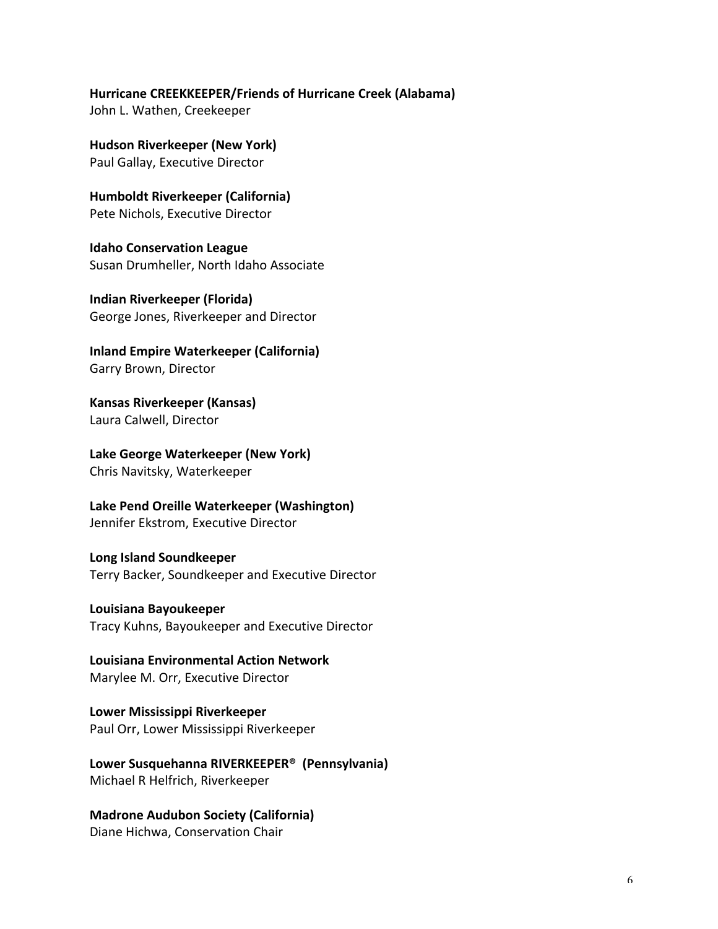## **Hurricane
CREEKKEEPER/Friends
of
Hurricane
Creek
(Alabama)**

John
L.
Wathen,
Creekeeper

**Hudson
Riverkeeper
(New
York)** Paul
Gallay,
Executive
Director

**Humboldt
Riverkeeper
(California)** Pete
Nichols,
Executive
Director

**Idaho
Conservation
League** Susan
Drumheller,
North
Idaho
Associate

**Indian
Riverkeeper
(Florida)** George
Jones,
Riverkeeper
and
Director

**Inland
Empire
Waterkeeper
(California)** Garry
Brown,
Director

**Kansas
Riverkeeper
(Kansas)** Laura
Calwell,
Director

**Lake
George
Waterkeeper
(New
York)** Chris
Navitsky,
Waterkeeper

**Lake
Pend
Oreille
Waterkeeper
(Washington)** Jennifer
Ekstrom,
Executive
Director

**Long
Island
Soundkeeper** Terry
Backer,
Soundkeeper
and
Executive
Director

**Louisiana
Bayoukeeper** Tracy
Kuhns,
Bayoukeeper
and
Executive
Director

**Louisiana
Environmental
Action
Network** Marylee
M.
Orr,
Executive
Director

**Lower
Mississippi
Riverkeeper** Paul
Orr,
Lower
Mississippi
Riverkeeper

**Lower
Susquehanna
RIVERKEEPER® (Pennsylvania)** Michael
R
Helfrich,
Riverkeeper

**Madrone
Audubon
Society
(California)** Diane
Hichwa,
Conservation
Chair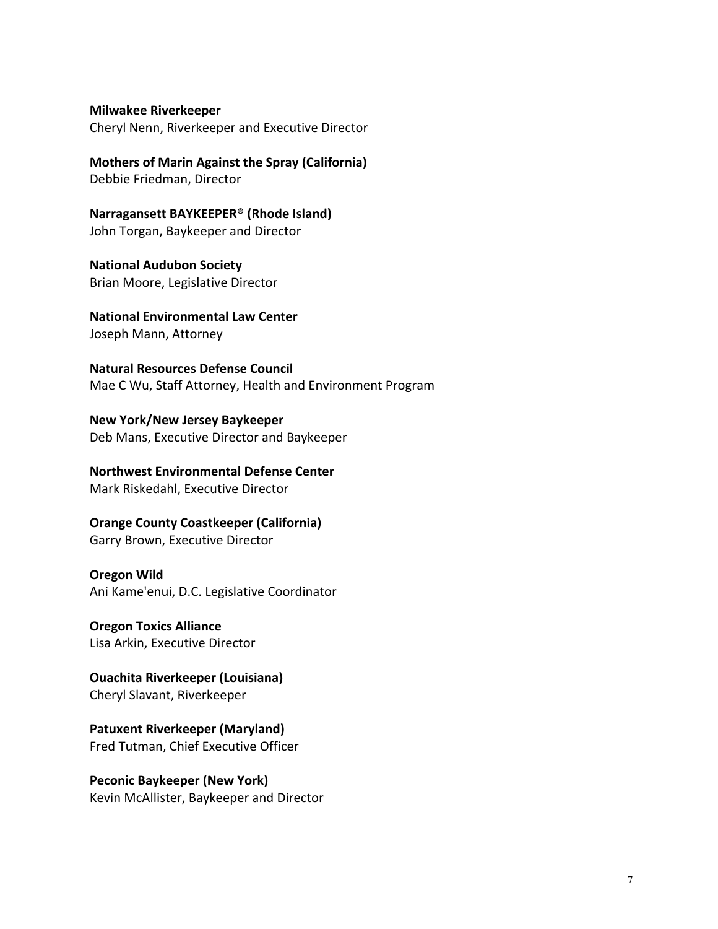**Milwakee
Riverkeeper**

Cheryl
Nenn,
Riverkeeper
and
Executive
Director

**Mothers
of
Marin
Against
the
Spray
(California)** Debbie
Friedman,
Director

**Narragansett
BAYKEEPER®
(Rhode
Island)** John
Torgan,
Baykeeper
and
Director

**National
Audubon
Society**  Brian
Moore,
Legislative
Director

**National
Environmental
Law
Center** Joseph
Mann,
Attorney

**Natural
Resources
Defense
Council** Mae
C
Wu,
Staff
Attorney,
Health
and
Environment
Program

**New
York/New
Jersey
Baykeeper** Deb Mans, Executive Director and Baykeeper

**Northwest
Environmental
Defense
Center** Mark
Riskedahl,
Executive
Director

**Orange
County
Coastkeeper
(California)** Garry
Brown,
Executive
Director

**Oregon
Wild** Ani
Kame'enui,
D.C.
Legislative
Coordinator

**Oregon
Toxics
Alliance** Lisa
Arkin,
Executive
Director

**Ouachita
Riverkeeper
(Louisiana)** Cheryl
Slavant,
Riverkeeper

**Patuxent
Riverkeeper
(Maryland)** Fred
Tutman,
Chief
Executive
Officer

**Peconic
Baykeeper
(New
York)** Kevin
McAllister,
Baykeeper
and
Director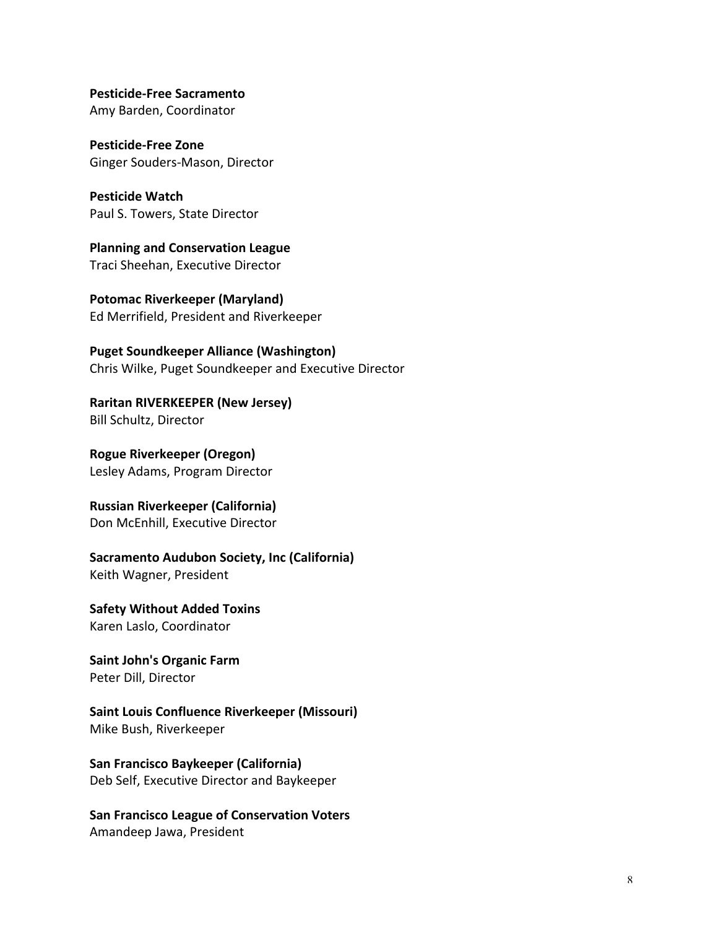**Pesticide‐Free
Sacramento**  Amy
Barden,
Coordinator

**Pesticide‐Free
Zone** Ginger
Souders‐Mason,
Director

**Pesticide
Watch** Paul
S.
Towers,
State
Director

**Planning
and
Conservation
League** Traci
Sheehan,
Executive
Director

**Potomac
Riverkeeper
(Maryland)** Ed
Merrifield,
President
and
Riverkeeper

**Puget
Soundkeeper
Alliance
(Washington)** Chris
Wilke,
Puget
Soundkeeper
and
Executive
Director

**Raritan
RIVERKEEPER
(New
Jersey)** Bill
Schultz,
Director

**Rogue
Riverkeeper
(Oregon)** Lesley
Adams,
Program
Director

**Russian
Riverkeeper
(California)** Don
McEnhill,
Executive
Director

**Sacramento
Audubon
Society,
Inc
(California)** Keith
Wagner,
President

**Safety
Without
Added
Toxins** Karen
Laslo,
Coordinator

**Saint
John's
Organic
Farm** Peter
Dill,
Director

**Saint
Louis
Confluence
Riverkeeper
(Missouri)** Mike
Bush,
Riverkeeper

**San
Francisco
Baykeeper
(California)** Deb Self, Executive Director and Baykeeper

**San
Francisco
League
of
Conservation
Voters**  Amandeep
Jawa,
President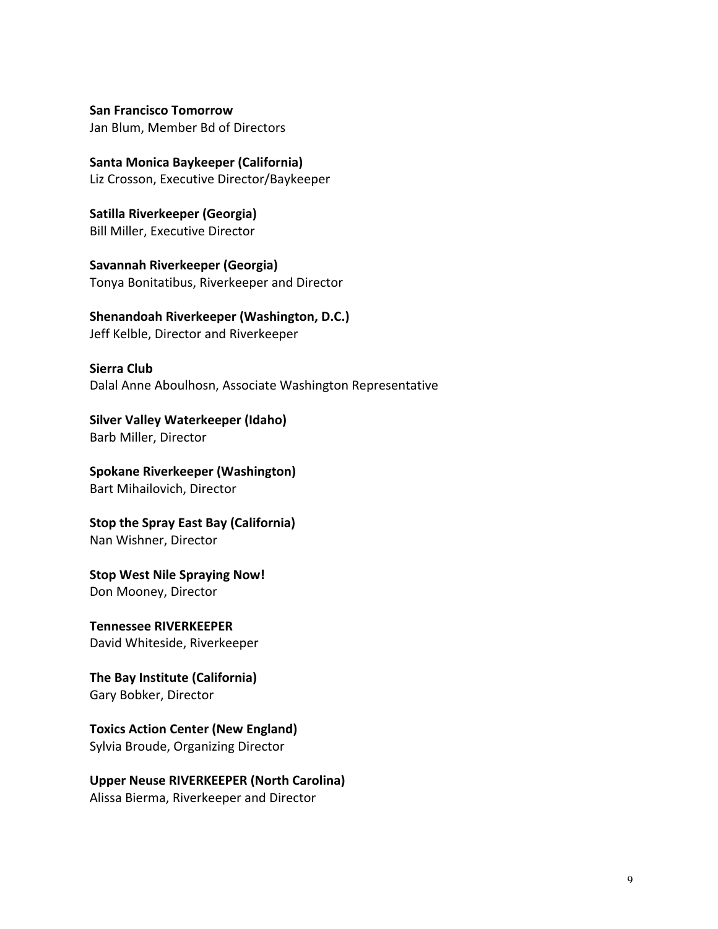**San
Francisco
Tomorrow** Jan
Blum,
Member
Bd
of
Directors

**Santa
Monica
Baykeeper
(California)** Liz
Crosson,
Executive
Director/Baykeeper

**Satilla
Riverkeeper
(Georgia)** Bill
Miller,
Executive
Director

**Savannah
Riverkeeper
(Georgia)** Tonya
Bonitatibus,
Riverkeeper
and
Director

### **Shenandoah
Riverkeeper
(Washington,
D.C.)**

Jeff
Kelble,
Director
and
Riverkeeper

### **Sierra
Club**

Dalal
Anne
Aboulhosn,
Associate
Washington
Representative

**Silver
Valley
Waterkeeper
(Idaho)**  Barb
Miller,
Director

**Spokane
Riverkeeper
(Washington)** Bart
Mihailovich,
Director

**Stop
the
Spray
East
Bay
(California)** Nan
Wishner,
Director

**Stop
West
Nile
Spraying
Now!** Don
Mooney,
Director

**Tennessee
RIVERKEEPER** David
Whiteside,
Riverkeeper

**The
Bay
Institute
(California)** Gary
Bobker,
Director

# **Toxics
Action
Center
(New
England)**

Sylvia
Broude,
Organizing
Director

**Upper
Neuse
RIVERKEEPER
(North
Carolina)** Alissa
Bierma,
Riverkeeper
and
Director